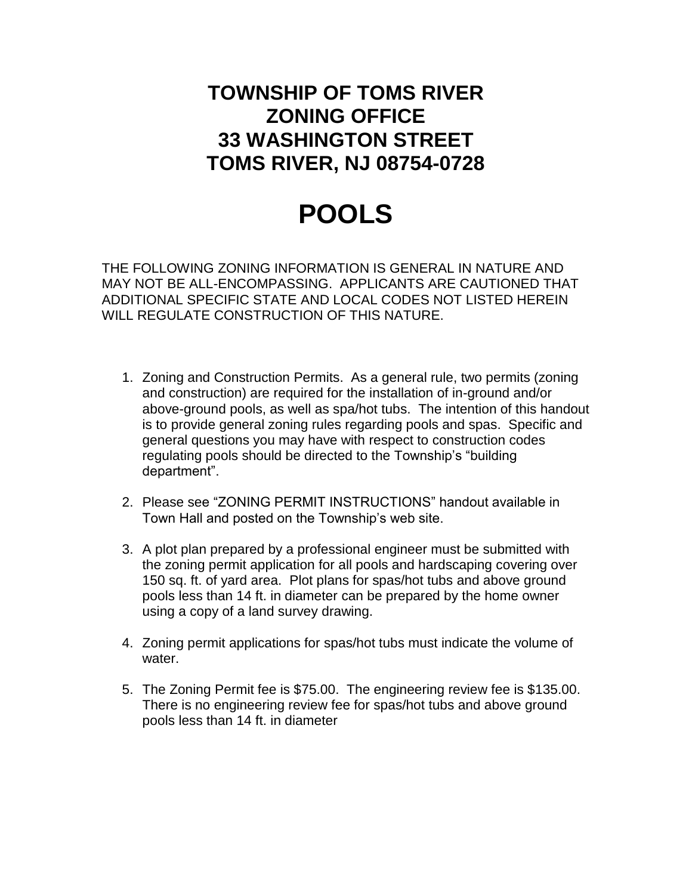## **TOWNSHIP OF TOMS RIVER ZONING OFFICE 33 WASHINGTON STREET TOMS RIVER, NJ 08754-0728**

## **POOLS**

THE FOLLOWING ZONING INFORMATION IS GENERAL IN NATURE AND MAY NOT BE ALL-ENCOMPASSING. APPLICANTS ARE CAUTIONED THAT ADDITIONAL SPECIFIC STATE AND LOCAL CODES NOT LISTED HEREIN WILL REGULATE CONSTRUCTION OF THIS NATURE.

- 1. Zoning and Construction Permits. As a general rule, two permits (zoning and construction) are required for the installation of in-ground and/or above-ground pools, as well as spa/hot tubs. The intention of this handout is to provide general zoning rules regarding pools and spas. Specific and general questions you may have with respect to construction codes regulating pools should be directed to the Township's "building department".
- 2. Please see "ZONING PERMIT INSTRUCTIONS" handout available in Town Hall and posted on the Township's web site.
- 3. A plot plan prepared by a professional engineer must be submitted with the zoning permit application for all pools and hardscaping covering over 150 sq. ft. of yard area. Plot plans for spas/hot tubs and above ground pools less than 14 ft. in diameter can be prepared by the home owner using a copy of a land survey drawing.
- 4. Zoning permit applications for spas/hot tubs must indicate the volume of water.
- 5. The Zoning Permit fee is \$75.00. The engineering review fee is \$135.00. There is no engineering review fee for spas/hot tubs and above ground pools less than 14 ft. in diameter